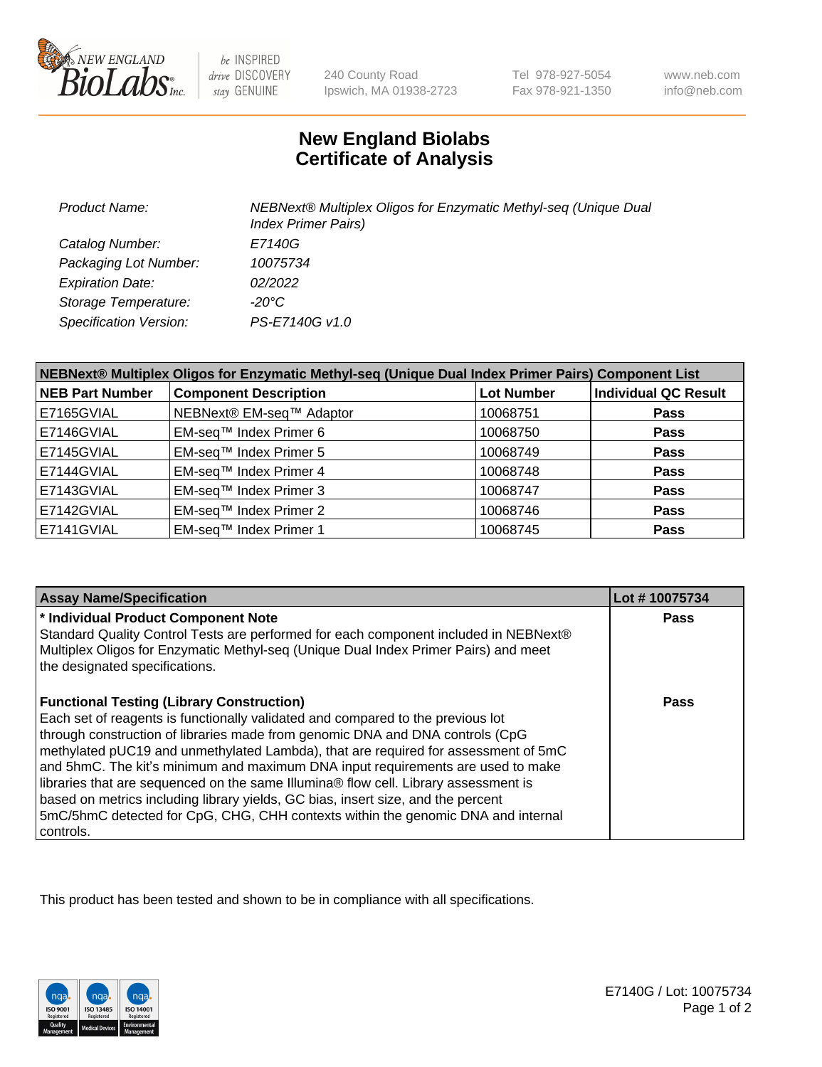

be INSPIRED drive DISCOVERY stay GENUINE

240 County Road Ipswich, MA 01938-2723 Tel 978-927-5054 Fax 978-921-1350

www.neb.com info@neb.com

## **New England Biolabs Certificate of Analysis**

| <b>Product Name:</b>          | NEBNext® Multiplex Oligos for Enzymatic Methyl-seq (Unique Dual<br><b>Index Primer Pairs)</b> |
|-------------------------------|-----------------------------------------------------------------------------------------------|
| Catalog Number:               | E7140G                                                                                        |
| Packaging Lot Number:         | 10075734                                                                                      |
| <b>Expiration Date:</b>       | 02/2022                                                                                       |
| Storage Temperature:          | -20°C                                                                                         |
| <b>Specification Version:</b> | PS-E7140G v1.0                                                                                |

| NEBNext® Multiplex Oligos for Enzymatic Methyl-seq (Unique Dual Index Primer Pairs) Component List |                              |                   |                             |  |
|----------------------------------------------------------------------------------------------------|------------------------------|-------------------|-----------------------------|--|
| <b>NEB Part Number</b>                                                                             | <b>Component Description</b> | <b>Lot Number</b> | <b>Individual QC Result</b> |  |
| E7165GVIAL                                                                                         | NEBNext® EM-seq™ Adaptor     | 10068751          | <b>Pass</b>                 |  |
| E7146GVIAL                                                                                         | EM-seq™ Index Primer 6       | 10068750          | <b>Pass</b>                 |  |
| E7145GVIAL                                                                                         | EM-seq™ Index Primer 5       | 10068749          | <b>Pass</b>                 |  |
| E7144GVIAL                                                                                         | EM-seq™ Index Primer 4       | 10068748          | <b>Pass</b>                 |  |
| E7143GVIAL                                                                                         | EM-seq™ Index Primer 3       | 10068747          | <b>Pass</b>                 |  |
| E7142GVIAL                                                                                         | EM-seq™ Index Primer 2       | 10068746          | <b>Pass</b>                 |  |
| E7141GVIAL                                                                                         | EM-seq™ Index Primer 1       | 10068745          | <b>Pass</b>                 |  |

| <b>Assay Name/Specification</b>                                                                                                                                       | Lot #10075734 |
|-----------------------------------------------------------------------------------------------------------------------------------------------------------------------|---------------|
| * Individual Product Component Note                                                                                                                                   | <b>Pass</b>   |
| Standard Quality Control Tests are performed for each component included in NEBNext®                                                                                  |               |
| Multiplex Oligos for Enzymatic Methyl-seq (Unique Dual Index Primer Pairs) and meet<br>the designated specifications.                                                 |               |
| <b>Functional Testing (Library Construction)</b>                                                                                                                      | Pass          |
| Each set of reagents is functionally validated and compared to the previous lot                                                                                       |               |
| through construction of libraries made from genomic DNA and DNA controls (CpG                                                                                         |               |
| methylated pUC19 and unmethylated Lambda), that are required for assessment of 5mC<br>and 5hmC. The kit's minimum and maximum DNA input requirements are used to make |               |
| libraries that are sequenced on the same Illumina® flow cell. Library assessment is                                                                                   |               |
| based on metrics including library yields, GC bias, insert size, and the percent                                                                                      |               |
| 5mC/5hmC detected for CpG, CHG, CHH contexts within the genomic DNA and internal                                                                                      |               |
| controls.                                                                                                                                                             |               |

This product has been tested and shown to be in compliance with all specifications.